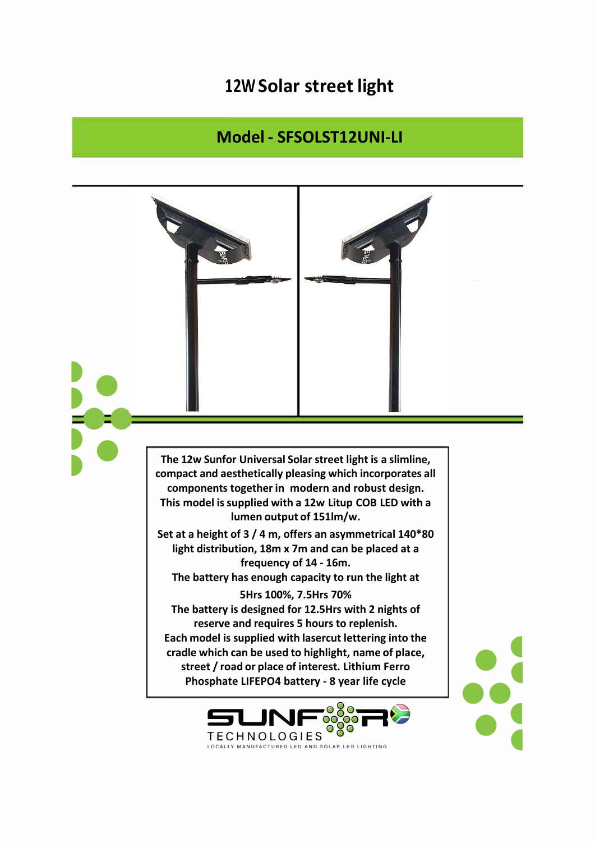## **12W Solar street light**

## **Model - SFSOLST12UNI-LI**